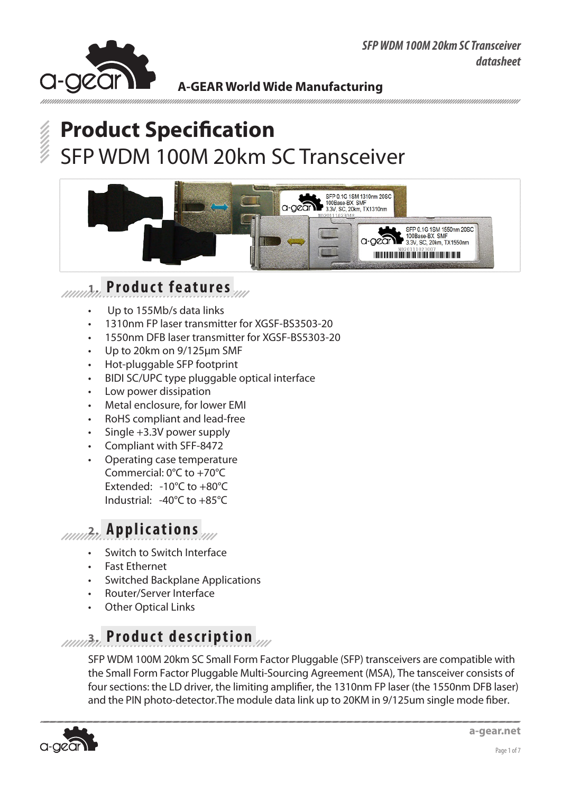

# **Product Specification** SFP WDM 100M 20km SC Transceiver



### **1. Product features**

- Up to 155Mb/s data links
- 1310nm FP laser transmitter for XGSF-BS3503-20
- 1550nm DFB laser transmitter for XGSF-BS5303-20
- Up to 20km on 9/125um SMF
- Hot-pluggable SFP footprint
- BIDI SC/UPC type pluggable optical interface
- Low power dissipation
- Metal enclosure, for lower EMI
- RoHS compliant and lead-free
- Single  $+3.3V$  power supply
- Compliant with SFF-8472
- Operating case temperature Commercial: 0°C to +70°C Extended: -10°C to +80°C Industrial: -40°C to +85°C

# **2. Applications**

- Switch to Switch Interface
- **Fast Ethernet**
- **Switched Backplane Applications**
- Router/Server Interface
- **Other Optical Links**

# **3. Product description**

SFP WDM 100M 20km SC Small Form Factor Pluggable (SFP) transceivers are compatible with the Small Form Factor Pluggable Multi-Sourcing Agreement (MSA), The tansceiver consists of four sections: the LD driver, the limiting amplifier, the 1310nm FP laser (the 1550nm DFB laser) and the PIN photo-detector.The module data link up to 20KM in 9/125um single mode fiber.

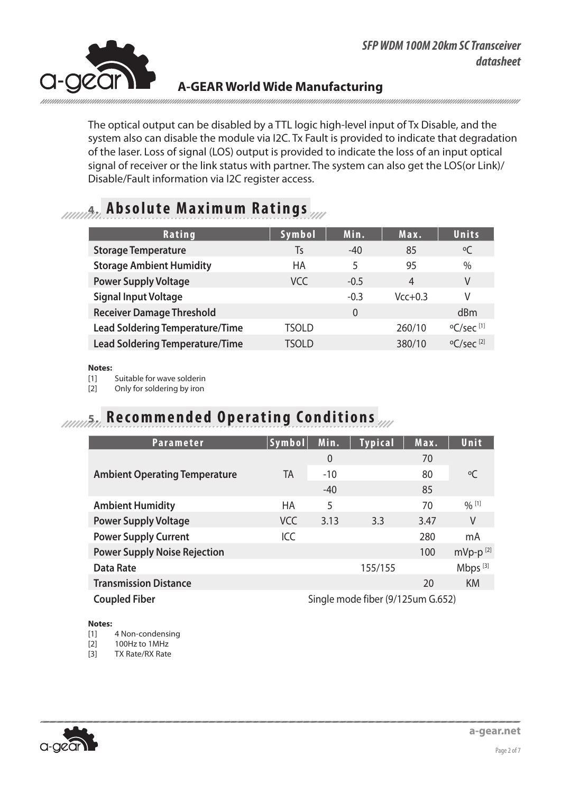

The optical output can be disabled by a TTL logic high-level input of Tx Disable, and the system also can disable the module via I2C. Tx Fault is provided to indicate that degradation of the laser. Loss of signal (LOS) output is provided to indicate the loss of an input optical signal of receiver or the link status with partner. The system can also get the LOS(or Link)/ Disable/Fault information via I2C register access.

## **4. Absolute Maximum Ratings**

| Rating                                 | Symbol | Min.     | Max.      | Units                          |
|----------------------------------------|--------|----------|-----------|--------------------------------|
| <b>Storage Temperature</b>             | Ts     | $-40$    | 85        | $\rm ^oC$                      |
| <b>Storage Ambient Humidity</b>        | HA     | 5        | 95        | $\%$                           |
| <b>Power Supply Voltage</b>            | VCC    | $-0.5$   | 4         | V                              |
| <b>Signal Input Voltage</b>            |        | $-0.3$   | $Vcc+0.3$ | V                              |
| <b>Receiver Damage Threshold</b>       |        | $\Omega$ |           | dBm                            |
| <b>Lead Soldering Temperature/Time</b> | TSOLD  |          | 260/10    | $\mathrm{O}$ C/sec [1]         |
| <b>Lead Soldering Temperature/Time</b> | tsold  |          | 380/10    | $\rm ^{o}C/sec$ <sup>[2]</sup> |

#### **Notes:**

[1] Suitable for wave solderin

[2] Only for soldering by iron

## *R***ecommended Operating Conditions**

| <b>Parameter</b>                     | Symbol     | Min.                              | <b>Typical</b> | Max. | Unit                |
|--------------------------------------|------------|-----------------------------------|----------------|------|---------------------|
|                                      |            | $\overline{0}$                    |                | 70   |                     |
| <b>Ambient Operating Temperature</b> | TA         | $-10$                             |                | 80   | $^{\circ}$ C        |
|                                      |            | $-40$                             |                | 85   |                     |
| <b>Ambient Humidity</b>              | <b>HA</b>  | 5                                 |                | 70   | $\frac{0}{0}$ [1]   |
| <b>Power Supply Voltage</b>          | <b>VCC</b> | 3.13                              | 3.3            | 3.47 | V                   |
| <b>Power Supply Current</b>          | ICC        |                                   |                | 280  | mA                  |
| <b>Power Supply Noise Rejection</b>  |            |                                   |                | 100  | $mVp-p^{[2]}$       |
| <b>Data Rate</b>                     |            |                                   | 155/155        |      | Mbps <sup>[3]</sup> |
| <b>Transmission Distance</b>         |            |                                   |                | 20   | <b>KM</b>           |
| <b>Coupled Fiber</b>                 |            | Single mode fiber (9/125um G.652) |                |      |                     |

#### **Notes:**

[1] 4 Non-condensing

[2] 100Hz to 1MHz

[3] TX Rate/RX Rate

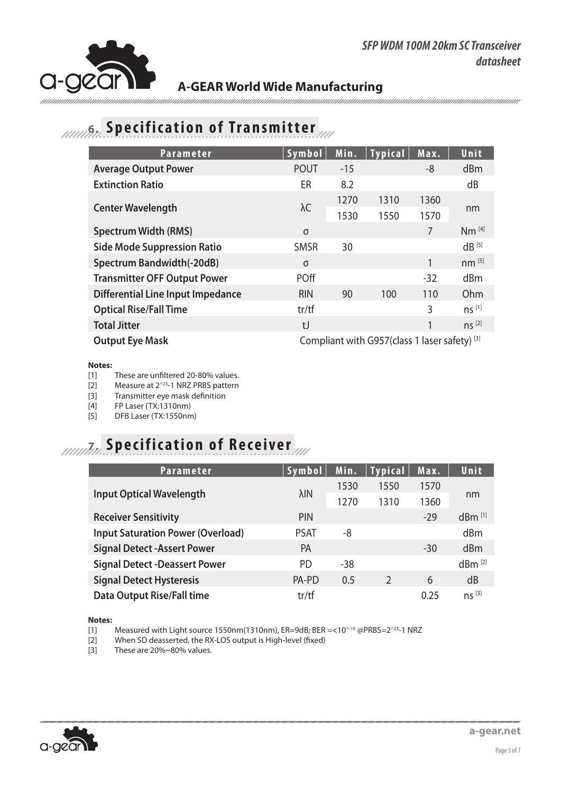

## **6.** Specification of Transmitter

| <b>Parameter</b>                         | Symbol                                        | Min.  | <b>Typical</b> | Max.  | Unit,             |
|------------------------------------------|-----------------------------------------------|-------|----------------|-------|-------------------|
| <b>Average Output Power</b>              | <b>POUT</b>                                   | $-15$ |                | -8    | dBm               |
| <b>Extinction Ratio</b>                  | ER                                            | 8.2   |                |       | dB                |
|                                          | $\lambda C$                                   | 1270  | 1310           | 1360  | nm                |
| <b>Center Wavelength</b>                 |                                               | 1530  | 1550           | 1570  |                   |
| <b>Spectrum Width (RMS)</b>              | $\sigma$                                      |       |                | 7     | Nm <sup>[4]</sup> |
| <b>Side Mode Suppression Ratio</b>       | <b>SMSR</b>                                   | 30    |                |       | $dB^{[5]}$        |
| <b>Spectrum Bandwidth(-20dB)</b>         | $\sigma$                                      |       |                | 1     | $nm^{[5]}$        |
| <b>Transmitter OFF Output Power</b>      | <b>POff</b>                                   |       |                | $-32$ | dBm               |
| <b>Differential Line Input Impedance</b> | <b>RIN</b>                                    | 90    | 100            | 110   | Ohm               |
| <b>Optical Rise/Fall Time</b>            | tr/tf                                         |       |                | 3     | ns <sup>[1]</sup> |
| <b>Total Jitter</b>                      | $t$ J                                         |       |                | 1     | $ns^{[2]}$        |
| <b>Output Eye Mask</b>                   | Compliant with G957(class 1 laser safety) [3] |       |                |       |                   |

#### **Notes:**

- [1] These are unfiltered 20-80% values.
- [2] Measure at 2^23-1 NRZ PRBS pattern
- [3] Transmitter eye mask definition
- [4] FP Laser (TX:1310nm)
- [5] DFB Laser (TX:1550nm)

# **7. Specification of Receiver**

| <b>Parameter</b>                         | Symbol       | Min. | <b>Typical</b> | Max.  | Unit                 |
|------------------------------------------|--------------|------|----------------|-------|----------------------|
|                                          | $\lambda$ IN | 1530 | 1550           | 1570  | nm                   |
| <b>Input Optical Wavelength</b>          |              | 1270 | 1310           | 1360  |                      |
| <b>Receiver Sensitivity</b>              | <b>PIN</b>   |      |                | $-29$ | $dBm$ <sup>[1]</sup> |
| <b>Input Saturation Power (Overload)</b> | <b>PSAT</b>  | -8   |                |       | dBm                  |
| <b>Signal Detect -Assert Power</b>       | <b>PA</b>    |      |                | $-30$ | dBm                  |
| <b>Signal Detect -Deassert Power</b>     | PD.          | -38  |                |       | $dBm^{[2]}$          |
| <b>Signal Detect Hysteresis</b>          | PA-PD        | 0.5  | $\mathcal{P}$  | 6     | dB                   |
| <b>Data Output Rise/Fall time</b>        | tr/tf        |      |                | 0.25  | $ns^{[3]}$           |

**Notes:** 

[1] Measured with Light source 1550nm(1310nm), ER=9dB; BER =<10^-10 @PRBS=2^23-1 NRZ

[2] When SD deasserted, the RX-LOS output is High-level (fixed)

[3] These are 20%~80% values.

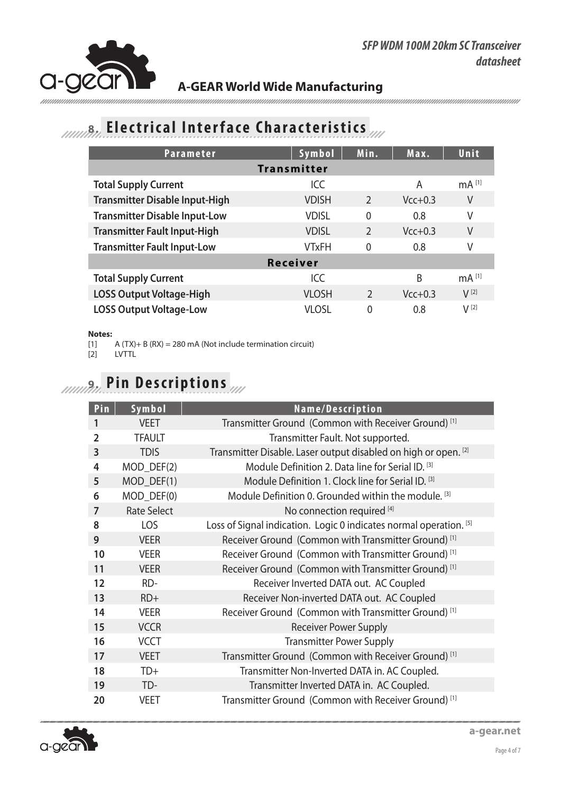

# *AMAR* **Electrical Interface Characteristics**

| <b>Parameter</b>                      | Symbol             | Min.           | Max.      | Unit              |  |  |
|---------------------------------------|--------------------|----------------|-----------|-------------------|--|--|
|                                       | <b>Transmitter</b> |                |           |                   |  |  |
| <b>Total Supply Current</b>           | ICC                |                | A         | mA <sup>[1]</sup> |  |  |
| <b>Transmitter Disable Input-High</b> | <b>VDISH</b>       | $\mathcal{P}$  | $Vcc+0.3$ | V                 |  |  |
| <b>Transmitter Disable Input-Low</b>  | <b>VDISL</b>       | $\mathbf{0}$   | 0.8       | ٧                 |  |  |
| <b>Transmitter Fault Input-High</b>   | <b>VDISL</b>       | $\overline{2}$ | $Vcc+0.3$ | V                 |  |  |
| <b>Transmitter Fault Input-Low</b>    | VTxFH              | $\Omega$       | 0.8       | V                 |  |  |
| Receiver                              |                    |                |           |                   |  |  |
| <b>Total Supply Current</b>           | ICC                |                | B         | mA <sup>[1]</sup> |  |  |
| <b>LOSS Output Voltage-High</b>       | <b>VLOSH</b>       | $\mathcal{P}$  | $Vcc+0.3$ | $V^{[2]}$         |  |  |
| <b>LOSS Output Voltage-Low</b>        | <b>VLOSL</b>       | $\Omega$       | 0.8       | $V^{[2]}$         |  |  |

#### **Notes:**

[1]  $A(TX)+B(RX) = 280 \text{ mA}$  (Not include termination circuit)<br>[2]  $LVTTL$ 

[2] LVTTL

# **9. Pin Descriptions**

| Pin            | Symbol             | Name/Description                                                   |
|----------------|--------------------|--------------------------------------------------------------------|
| 1              | <b>VEET</b>        | Transmitter Ground (Common with Receiver Ground) <sup>[1]</sup>    |
| $\overline{2}$ | <b>TFAULT</b>      | Transmitter Fault. Not supported.                                  |
| 3              | <b>TDIS</b>        | Transmitter Disable. Laser output disabled on high or open. [2]    |
| 4              | MOD_DEF(2)         | Module Definition 2. Data line for Serial ID. [3]                  |
| 5              | MOD_DEF(1)         | Module Definition 1. Clock line for Serial ID. [3]                 |
| 6              | MOD DEF(0)         | Module Definition 0. Grounded within the module. [3]               |
| 7              | <b>Rate Select</b> | No connection required [4]                                         |
| 8              | LOS                | Loss of Signal indication. Logic 0 indicates normal operation. [5] |
| 9              | <b>VEER</b>        | Receiver Ground (Common with Transmitter Ground) <sup>[1]</sup>    |
| 10             | <b>VEER</b>        | Receiver Ground (Common with Transmitter Ground) <sup>[1]</sup>    |
| 11             | <b>VEER</b>        | Receiver Ground (Common with Transmitter Ground) <sup>[1]</sup>    |
| 12             | RD-                | Receiver Inverted DATA out. AC Coupled                             |
| 13             | $RD+$              | Receiver Non-inverted DATA out. AC Coupled                         |
| 14             | <b>VEER</b>        | Receiver Ground (Common with Transmitter Ground) <sup>[1]</sup>    |
| 15             | <b>VCCR</b>        | <b>Receiver Power Supply</b>                                       |
| 16             | <b>VCCT</b>        | <b>Transmitter Power Supply</b>                                    |
| 17             | <b>VEET</b>        | Transmitter Ground (Common with Receiver Ground) <sup>[1]</sup>    |
| 18             | $TD+$              | Transmitter Non-Inverted DATA in. AC Coupled.                      |
| 19             | TD-                | Transmitter Inverted DATA in. AC Coupled.                          |
| 20             | <b>VEET</b>        | Transmitter Ground (Common with Receiver Ground) <sup>[1]</sup>    |

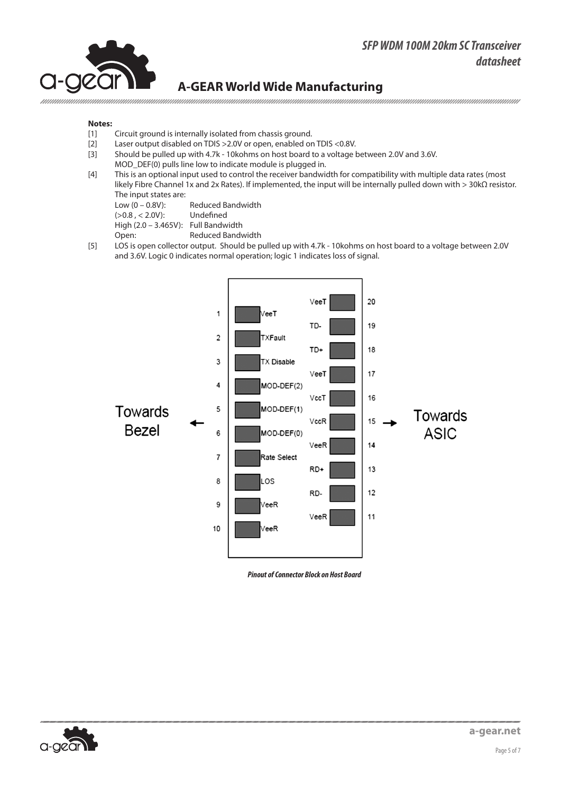#### *SFP WDM 100M 20km SC Transceiver datasheet*



#### **A-GEAR World Wide Manufacturing**

#### **Notes:**

- [1] Circuit ground is internally isolated from chassis ground.
- [2] Laser output disabled on TDIS >2.0V or open, enabled on TDIS <0.8V.
- [3] Should be pulled up with 4.7k 10kohms on host board to a voltage between 2.0V and 3.6V.
- MOD DEF(0) pulls line low to indicate module is plugged in.
- [4] This is an optional input used to control the receiver bandwidth for compatibility with multiple data rates (most likely Fibre Channel 1x and 2x Rates). If implemented, the input will be internally pulled down with > 30kΩ resistor. The input states are:<br>Low  $(0 - 0.8V)$ :

Reduced Bandwidth<br>Undefined  $(>0.8, < 2.0V)$ :

High (2.0 – 3.465V): Full Bandwidth

Open: Reduced Bandwidth

[5] LOS is open collector output. Should be pulled up with 4.7k - 10kohms on host board to a voltage between 2.0V and 3.6V. Logic 0 indicates normal operation; logic 1 indicates loss of signal.



*Pinout of Connector Block on Host Board*

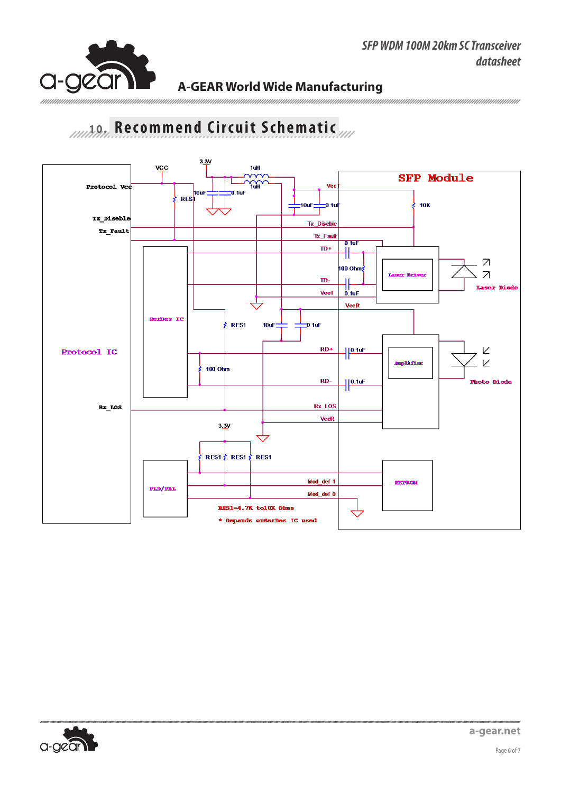# **And Recommend Circuit Schematic**